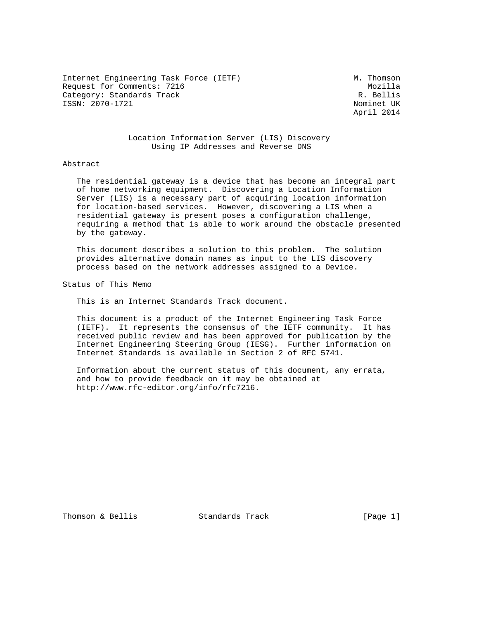Internet Engineering Task Force (IETF) M. Thomson Request for Comments: 7216<br>Category: Standards Track Gategory: R. Bellis Category: Standards Track ISSN: 2070-1721 Nominet UK

April 2014

## Location Information Server (LIS) Discovery Using IP Addresses and Reverse DNS

#### Abstract

 The residential gateway is a device that has become an integral part of home networking equipment. Discovering a Location Information Server (LIS) is a necessary part of acquiring location information for location-based services. However, discovering a LIS when a residential gateway is present poses a configuration challenge, requiring a method that is able to work around the obstacle presented by the gateway.

 This document describes a solution to this problem. The solution provides alternative domain names as input to the LIS discovery process based on the network addresses assigned to a Device.

Status of This Memo

This is an Internet Standards Track document.

 This document is a product of the Internet Engineering Task Force (IETF). It represents the consensus of the IETF community. It has received public review and has been approved for publication by the Internet Engineering Steering Group (IESG). Further information on Internet Standards is available in Section 2 of RFC 5741.

 Information about the current status of this document, any errata, and how to provide feedback on it may be obtained at http://www.rfc-editor.org/info/rfc7216.

Thomson & Bellis **Standards Track** [Page 1]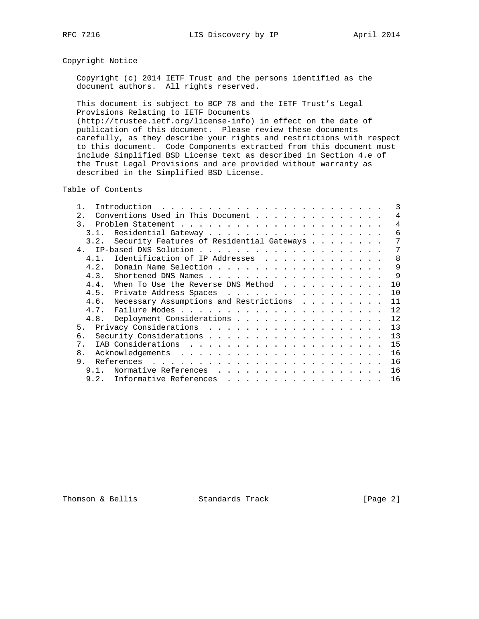# Copyright Notice

 Copyright (c) 2014 IETF Trust and the persons identified as the document authors. All rights reserved.

 This document is subject to BCP 78 and the IETF Trust's Legal Provisions Relating to IETF Documents

 (http://trustee.ietf.org/license-info) in effect on the date of publication of this document. Please review these documents carefully, as they describe your rights and restrictions with respect to this document. Code Components extracted from this document must include Simplified BSD License text as described in Section 4.e of the Trust Legal Provisions and are provided without warranty as described in the Simplified BSD License.

Table of Contents

| Conventions Used in This Document<br>$2^{\circ}$<br>4<br>4<br>3.<br>6<br>3 1<br>Security Features of Residential Gateways<br>7<br>3.2.<br>4 <sub>1</sub><br>7<br>Identification of IP Addresses<br>8<br>4.1.<br>9<br>Domain Name Selection<br>4.2.<br>9<br>4.3.<br>10<br>4.4.<br>When To Use the Reverse DNS Method $\dots$<br>10<br>4.5.<br>Private Address Spaces<br>Necessary Assumptions and Restrictions<br>4.6.<br>11<br>12<br>4.7.<br>12<br>4.8. Deployment Considerations<br>13<br>5.<br>13<br>б.<br>15<br>7 <sub>1</sub><br>16<br>8.<br>9.<br>16<br>16<br>9.1.<br>Normative References<br>16<br>9.2. Informative References |  | Introduction |  |  |  |  | 3 |
|--------------------------------------------------------------------------------------------------------------------------------------------------------------------------------------------------------------------------------------------------------------------------------------------------------------------------------------------------------------------------------------------------------------------------------------------------------------------------------------------------------------------------------------------------------------------------------------------------------------------------------------|--|--------------|--|--|--|--|---|
|                                                                                                                                                                                                                                                                                                                                                                                                                                                                                                                                                                                                                                      |  |              |  |  |  |  |   |
|                                                                                                                                                                                                                                                                                                                                                                                                                                                                                                                                                                                                                                      |  |              |  |  |  |  |   |
|                                                                                                                                                                                                                                                                                                                                                                                                                                                                                                                                                                                                                                      |  |              |  |  |  |  |   |
|                                                                                                                                                                                                                                                                                                                                                                                                                                                                                                                                                                                                                                      |  |              |  |  |  |  |   |
|                                                                                                                                                                                                                                                                                                                                                                                                                                                                                                                                                                                                                                      |  |              |  |  |  |  |   |
|                                                                                                                                                                                                                                                                                                                                                                                                                                                                                                                                                                                                                                      |  |              |  |  |  |  |   |
|                                                                                                                                                                                                                                                                                                                                                                                                                                                                                                                                                                                                                                      |  |              |  |  |  |  |   |
|                                                                                                                                                                                                                                                                                                                                                                                                                                                                                                                                                                                                                                      |  |              |  |  |  |  |   |
|                                                                                                                                                                                                                                                                                                                                                                                                                                                                                                                                                                                                                                      |  |              |  |  |  |  |   |
|                                                                                                                                                                                                                                                                                                                                                                                                                                                                                                                                                                                                                                      |  |              |  |  |  |  |   |
|                                                                                                                                                                                                                                                                                                                                                                                                                                                                                                                                                                                                                                      |  |              |  |  |  |  |   |
|                                                                                                                                                                                                                                                                                                                                                                                                                                                                                                                                                                                                                                      |  |              |  |  |  |  |   |
|                                                                                                                                                                                                                                                                                                                                                                                                                                                                                                                                                                                                                                      |  |              |  |  |  |  |   |
|                                                                                                                                                                                                                                                                                                                                                                                                                                                                                                                                                                                                                                      |  |              |  |  |  |  |   |
|                                                                                                                                                                                                                                                                                                                                                                                                                                                                                                                                                                                                                                      |  |              |  |  |  |  |   |
|                                                                                                                                                                                                                                                                                                                                                                                                                                                                                                                                                                                                                                      |  |              |  |  |  |  |   |
|                                                                                                                                                                                                                                                                                                                                                                                                                                                                                                                                                                                                                                      |  |              |  |  |  |  |   |
|                                                                                                                                                                                                                                                                                                                                                                                                                                                                                                                                                                                                                                      |  |              |  |  |  |  |   |
|                                                                                                                                                                                                                                                                                                                                                                                                                                                                                                                                                                                                                                      |  |              |  |  |  |  |   |
|                                                                                                                                                                                                                                                                                                                                                                                                                                                                                                                                                                                                                                      |  |              |  |  |  |  |   |

Thomson & Bellis **Standards Track** [Page 2]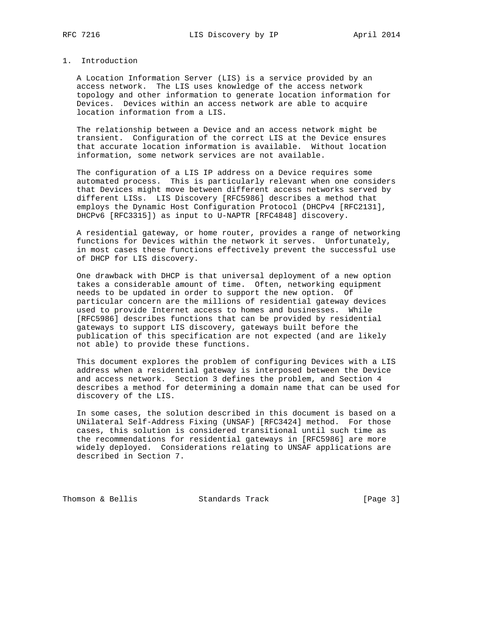## 1. Introduction

 A Location Information Server (LIS) is a service provided by an access network. The LIS uses knowledge of the access network topology and other information to generate location information for Devices. Devices within an access network are able to acquire location information from a LIS.

 The relationship between a Device and an access network might be transient. Configuration of the correct LIS at the Device ensures that accurate location information is available. Without location information, some network services are not available.

 The configuration of a LIS IP address on a Device requires some automated process. This is particularly relevant when one considers that Devices might move between different access networks served by different LISs. LIS Discovery [RFC5986] describes a method that employs the Dynamic Host Configuration Protocol (DHCPv4 [RFC2131], DHCPv6 [RFC3315]) as input to U-NAPTR [RFC4848] discovery.

 A residential gateway, or home router, provides a range of networking functions for Devices within the network it serves. Unfortunately, in most cases these functions effectively prevent the successful use of DHCP for LIS discovery.

 One drawback with DHCP is that universal deployment of a new option takes a considerable amount of time. Often, networking equipment needs to be updated in order to support the new option. Of particular concern are the millions of residential gateway devices used to provide Internet access to homes and businesses. While [RFC5986] describes functions that can be provided by residential gateways to support LIS discovery, gateways built before the publication of this specification are not expected (and are likely not able) to provide these functions.

 This document explores the problem of configuring Devices with a LIS address when a residential gateway is interposed between the Device and access network. Section 3 defines the problem, and Section 4 describes a method for determining a domain name that can be used for discovery of the LIS.

 In some cases, the solution described in this document is based on a UNilateral Self-Address Fixing (UNSAF) [RFC3424] method. For those cases, this solution is considered transitional until such time as the recommendations for residential gateways in [RFC5986] are more widely deployed. Considerations relating to UNSAF applications are described in Section 7.

Thomson & Bellis **Standards Track** [Page 3]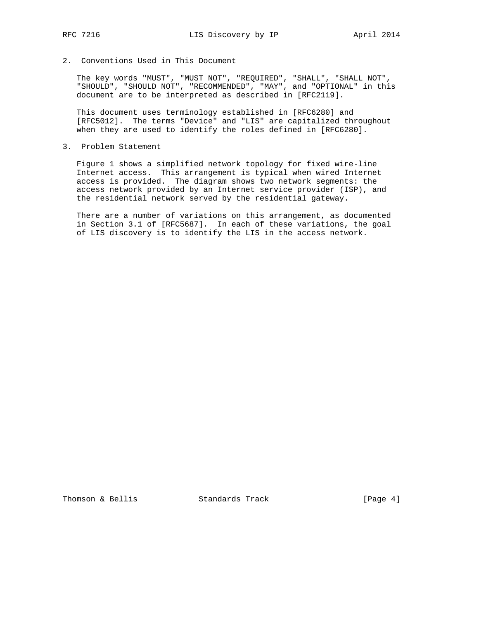2. Conventions Used in This Document

 The key words "MUST", "MUST NOT", "REQUIRED", "SHALL", "SHALL NOT", "SHOULD", "SHOULD NOT", "RECOMMENDED", "MAY", and "OPTIONAL" in this document are to be interpreted as described in [RFC2119].

 This document uses terminology established in [RFC6280] and [RFC5012]. The terms "Device" and "LIS" are capitalized throughout when they are used to identify the roles defined in [RFC6280].

3. Problem Statement

 Figure 1 shows a simplified network topology for fixed wire-line Internet access. This arrangement is typical when wired Internet access is provided. The diagram shows two network segments: the access network provided by an Internet service provider (ISP), and the residential network served by the residential gateway.

 There are a number of variations on this arrangement, as documented in Section 3.1 of [RFC5687]. In each of these variations, the goal of LIS discovery is to identify the LIS in the access network.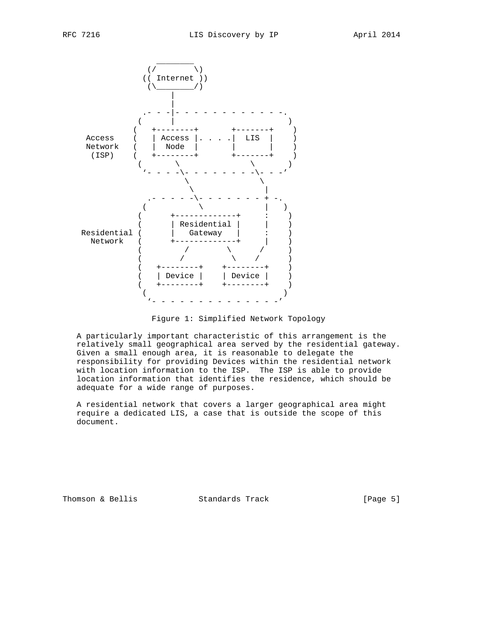

Figure 1: Simplified Network Topology

 A particularly important characteristic of this arrangement is the relatively small geographical area served by the residential gateway. Given a small enough area, it is reasonable to delegate the responsibility for providing Devices within the residential network with location information to the ISP. The ISP is able to provide location information that identifies the residence, which should be adequate for a wide range of purposes.

 A residential network that covers a larger geographical area might require a dedicated LIS, a case that is outside the scope of this document.

Thomson & Bellis Standards Track [Page 5]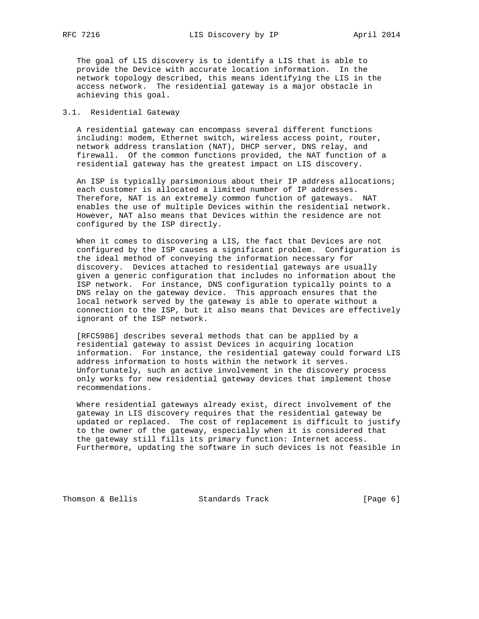The goal of LIS discovery is to identify a LIS that is able to provide the Device with accurate location information. In the network topology described, this means identifying the LIS in the access network. The residential gateway is a major obstacle in achieving this goal.

#### 3.1. Residential Gateway

 A residential gateway can encompass several different functions including: modem, Ethernet switch, wireless access point, router, network address translation (NAT), DHCP server, DNS relay, and firewall. Of the common functions provided, the NAT function of a residential gateway has the greatest impact on LIS discovery.

 An ISP is typically parsimonious about their IP address allocations; each customer is allocated a limited number of IP addresses. Therefore, NAT is an extremely common function of gateways. NAT enables the use of multiple Devices within the residential network. However, NAT also means that Devices within the residence are not configured by the ISP directly.

 When it comes to discovering a LIS, the fact that Devices are not configured by the ISP causes a significant problem. Configuration is the ideal method of conveying the information necessary for discovery. Devices attached to residential gateways are usually given a generic configuration that includes no information about the ISP network. For instance, DNS configuration typically points to a DNS relay on the gateway device. This approach ensures that the local network served by the gateway is able to operate without a connection to the ISP, but it also means that Devices are effectively ignorant of the ISP network.

 [RFC5986] describes several methods that can be applied by a residential gateway to assist Devices in acquiring location information. For instance, the residential gateway could forward LIS address information to hosts within the network it serves. Unfortunately, such an active involvement in the discovery process only works for new residential gateway devices that implement those recommendations.

 Where residential gateways already exist, direct involvement of the gateway in LIS discovery requires that the residential gateway be updated or replaced. The cost of replacement is difficult to justify to the owner of the gateway, especially when it is considered that the gateway still fills its primary function: Internet access. Furthermore, updating the software in such devices is not feasible in

Thomson & Bellis **Standards Track** [Page 6]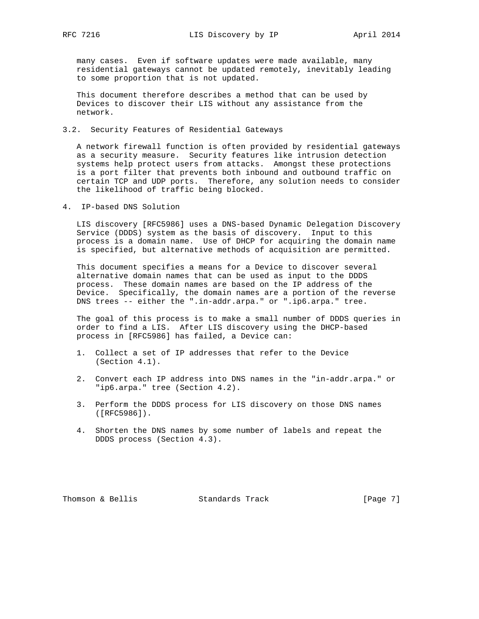many cases. Even if software updates were made available, many residential gateways cannot be updated remotely, inevitably leading to some proportion that is not updated.

 This document therefore describes a method that can be used by Devices to discover their LIS without any assistance from the network.

3.2. Security Features of Residential Gateways

 A network firewall function is often provided by residential gateways as a security measure. Security features like intrusion detection systems help protect users from attacks. Amongst these protections is a port filter that prevents both inbound and outbound traffic on certain TCP and UDP ports. Therefore, any solution needs to consider the likelihood of traffic being blocked.

4. IP-based DNS Solution

 LIS discovery [RFC5986] uses a DNS-based Dynamic Delegation Discovery Service (DDDS) system as the basis of discovery. Input to this process is a domain name. Use of DHCP for acquiring the domain name is specified, but alternative methods of acquisition are permitted.

 This document specifies a means for a Device to discover several alternative domain names that can be used as input to the DDDS process. These domain names are based on the IP address of the Device. Specifically, the domain names are a portion of the reverse DNS trees -- either the ".in-addr.arpa." or ".ip6.arpa." tree.

 The goal of this process is to make a small number of DDDS queries in order to find a LIS. After LIS discovery using the DHCP-based process in [RFC5986] has failed, a Device can:

- 1. Collect a set of IP addresses that refer to the Device (Section 4.1).
- 2. Convert each IP address into DNS names in the "in-addr.arpa." or "ip6.arpa." tree (Section 4.2).
- 3. Perform the DDDS process for LIS discovery on those DNS names ([RFC5986]).
- 4. Shorten the DNS names by some number of labels and repeat the DDDS process (Section 4.3).

Thomson & Bellis **Standards Track** [Page 7]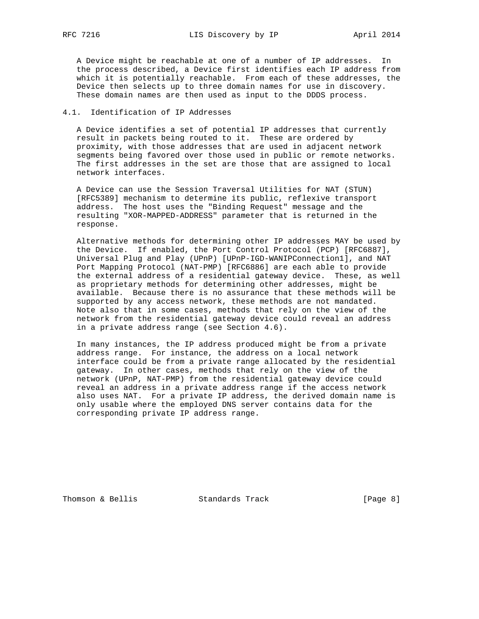A Device might be reachable at one of a number of IP addresses. In the process described, a Device first identifies each IP address from which it is potentially reachable. From each of these addresses, the Device then selects up to three domain names for use in discovery. These domain names are then used as input to the DDDS process.

# 4.1. Identification of IP Addresses

 A Device identifies a set of potential IP addresses that currently result in packets being routed to it. These are ordered by proximity, with those addresses that are used in adjacent network segments being favored over those used in public or remote networks. The first addresses in the set are those that are assigned to local network interfaces.

 A Device can use the Session Traversal Utilities for NAT (STUN) [RFC5389] mechanism to determine its public, reflexive transport address. The host uses the "Binding Request" message and the resulting "XOR-MAPPED-ADDRESS" parameter that is returned in the response.

 Alternative methods for determining other IP addresses MAY be used by the Device. If enabled, the Port Control Protocol (PCP) [RFC6887], Universal Plug and Play (UPnP) [UPnP-IGD-WANIPConnection1], and NAT Port Mapping Protocol (NAT-PMP) [RFC6886] are each able to provide the external address of a residential gateway device. These, as well as proprietary methods for determining other addresses, might be available. Because there is no assurance that these methods will be supported by any access network, these methods are not mandated. Note also that in some cases, methods that rely on the view of the network from the residential gateway device could reveal an address in a private address range (see Section 4.6).

 In many instances, the IP address produced might be from a private address range. For instance, the address on a local network interface could be from a private range allocated by the residential gateway. In other cases, methods that rely on the view of the network (UPnP, NAT-PMP) from the residential gateway device could reveal an address in a private address range if the access network also uses NAT. For a private IP address, the derived domain name is only usable where the employed DNS server contains data for the corresponding private IP address range.

Thomson & Bellis **Standards Track** [Page 8]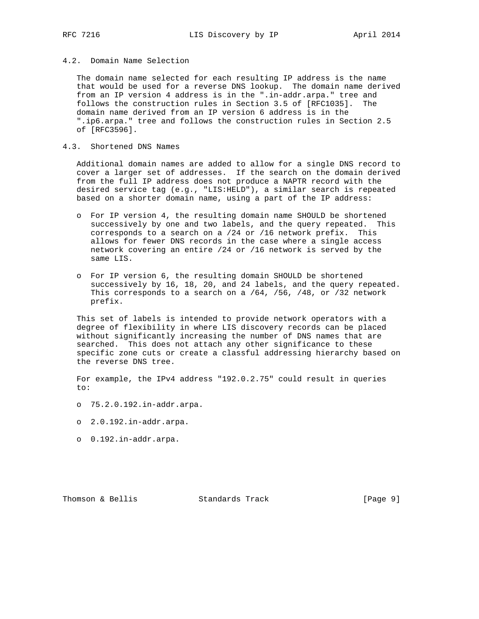## 4.2. Domain Name Selection

 The domain name selected for each resulting IP address is the name that would be used for a reverse DNS lookup. The domain name derived from an IP version 4 address is in the ".in-addr.arpa." tree and follows the construction rules in Section 3.5 of [RFC1035]. The domain name derived from an IP version 6 address is in the ".ip6.arpa." tree and follows the construction rules in Section 2.5 of [RFC3596].

### 4.3. Shortened DNS Names

 Additional domain names are added to allow for a single DNS record to cover a larger set of addresses. If the search on the domain derived from the full IP address does not produce a NAPTR record with the desired service tag (e.g., "LIS:HELD"), a similar search is repeated based on a shorter domain name, using a part of the IP address:

- o For IP version 4, the resulting domain name SHOULD be shortened successively by one and two labels, and the query repeated. This corresponds to a search on a /24 or /16 network prefix. This allows for fewer DNS records in the case where a single access network covering an entire /24 or /16 network is served by the same LIS.
- o For IP version 6, the resulting domain SHOULD be shortened successively by 16, 18, 20, and 24 labels, and the query repeated. This corresponds to a search on a /64, /56, /48, or /32 network prefix.

 This set of labels is intended to provide network operators with a degree of flexibility in where LIS discovery records can be placed without significantly increasing the number of DNS names that are searched. This does not attach any other significance to these specific zone cuts or create a classful addressing hierarchy based on the reverse DNS tree.

 For example, the IPv4 address "192.0.2.75" could result in queries  $t \cap$ :

- o 75.2.0.192.in-addr.arpa.
- o 2.0.192.in-addr.arpa.
- o 0.192.in-addr.arpa.

Thomson & Bellis **Standards Track** [Page 9]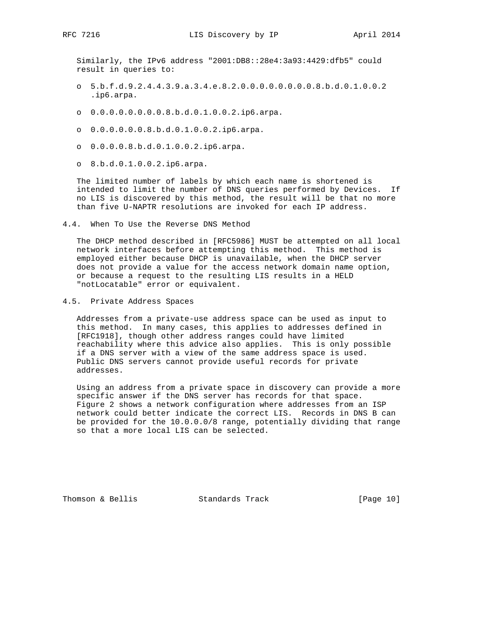Similarly, the IPv6 address "2001:DB8::28e4:3a93:4429:dfb5" could result in queries to:

- o 5.b.f.d.9.2.4.4.3.9.a.3.4.e.8.2.0.0.0.0.0.0.0.0.8.b.d.0.1.0.0.2 .ip6.arpa.
- o 0.0.0.0.0.0.0.0.8.b.d.0.1.0.0.2.ip6.arpa.
- o 0.0.0.0.0.0.8.b.d.0.1.0.0.2.ip6.arpa.
- o 0.0.0.0.8.b.d.0.1.0.0.2.ip6.arpa.
- o 8.b.d.0.1.0.0.2.ip6.arpa.

 The limited number of labels by which each name is shortened is intended to limit the number of DNS queries performed by Devices. If no LIS is discovered by this method, the result will be that no more than five U-NAPTR resolutions are invoked for each IP address.

4.4. When To Use the Reverse DNS Method

 The DHCP method described in [RFC5986] MUST be attempted on all local network interfaces before attempting this method. This method is employed either because DHCP is unavailable, when the DHCP server does not provide a value for the access network domain name option, or because a request to the resulting LIS results in a HELD "notLocatable" error or equivalent.

4.5. Private Address Spaces

 Addresses from a private-use address space can be used as input to this method. In many cases, this applies to addresses defined in [RFC1918], though other address ranges could have limited reachability where this advice also applies. This is only possible if a DNS server with a view of the same address space is used. Public DNS servers cannot provide useful records for private addresses.

 Using an address from a private space in discovery can provide a more specific answer if the DNS server has records for that space. Figure 2 shows a network configuration where addresses from an ISP network could better indicate the correct LIS. Records in DNS B can be provided for the 10.0.0.0/8 range, potentially dividing that range so that a more local LIS can be selected.

Thomson & Bellis Standards Track [Page 10]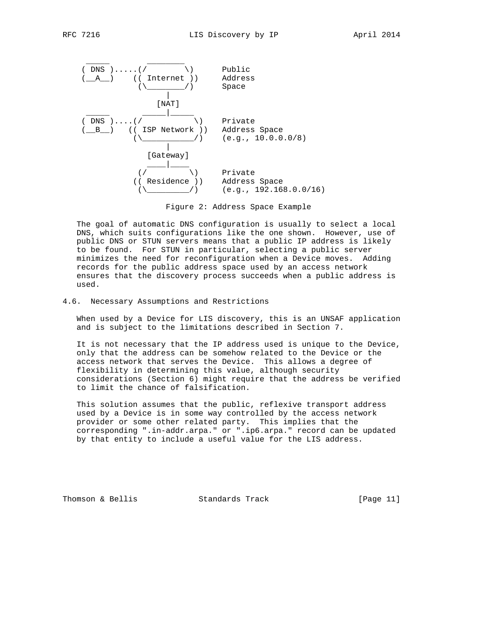

Figure 2: Address Space Example

 The goal of automatic DNS configuration is usually to select a local DNS, which suits configurations like the one shown. However, use of public DNS or STUN servers means that a public IP address is likely to be found. For STUN in particular, selecting a public server minimizes the need for reconfiguration when a Device moves. Adding records for the public address space used by an access network ensures that the discovery process succeeds when a public address is used.

4.6. Necessary Assumptions and Restrictions

 When used by a Device for LIS discovery, this is an UNSAF application and is subject to the limitations described in Section 7.

 It is not necessary that the IP address used is unique to the Device, only that the address can be somehow related to the Device or the access network that serves the Device. This allows a degree of flexibility in determining this value, although security considerations (Section 6) might require that the address be verified to limit the chance of falsification.

 This solution assumes that the public, reflexive transport address used by a Device is in some way controlled by the access network provider or some other related party. This implies that the corresponding ".in-addr.arpa." or ".ip6.arpa." record can be updated by that entity to include a useful value for the LIS address.

Thomson & Bellis Standards Track [Page 11]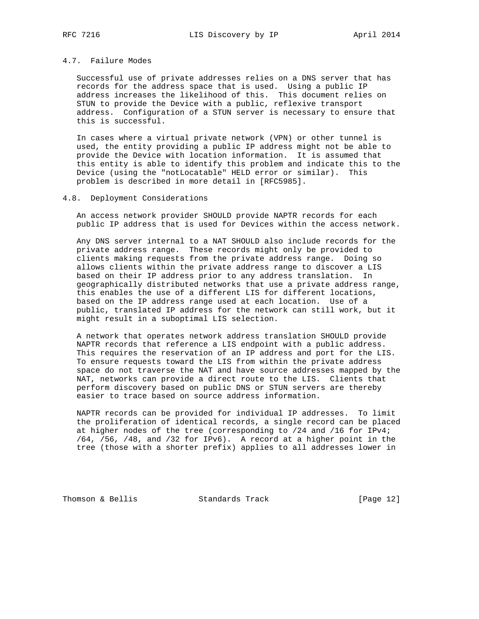## 4.7. Failure Modes

 Successful use of private addresses relies on a DNS server that has records for the address space that is used. Using a public IP address increases the likelihood of this. This document relies on STUN to provide the Device with a public, reflexive transport address. Configuration of a STUN server is necessary to ensure that this is successful.

 In cases where a virtual private network (VPN) or other tunnel is used, the entity providing a public IP address might not be able to provide the Device with location information. It is assumed that this entity is able to identify this problem and indicate this to the Device (using the "notLocatable" HELD error or similar). This problem is described in more detail in [RFC5985].

#### 4.8. Deployment Considerations

 An access network provider SHOULD provide NAPTR records for each public IP address that is used for Devices within the access network.

 Any DNS server internal to a NAT SHOULD also include records for the private address range. These records might only be provided to clients making requests from the private address range. Doing so allows clients within the private address range to discover a LIS based on their IP address prior to any address translation. In geographically distributed networks that use a private address range, this enables the use of a different LIS for different locations, based on the IP address range used at each location. Use of a public, translated IP address for the network can still work, but it might result in a suboptimal LIS selection.

 A network that operates network address translation SHOULD provide NAPTR records that reference a LIS endpoint with a public address. This requires the reservation of an IP address and port for the LIS. To ensure requests toward the LIS from within the private address space do not traverse the NAT and have source addresses mapped by the NAT, networks can provide a direct route to the LIS. Clients that perform discovery based on public DNS or STUN servers are thereby easier to trace based on source address information.

 NAPTR records can be provided for individual IP addresses. To limit the proliferation of identical records, a single record can be placed at higher nodes of the tree (corresponding to /24 and /16 for IPv4; /64, /56, /48, and /32 for IPv6). A record at a higher point in the tree (those with a shorter prefix) applies to all addresses lower in

Thomson & Bellis Standards Track [Page 12]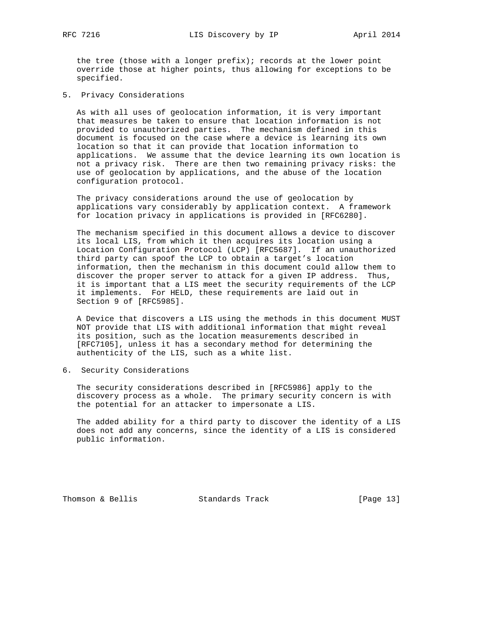the tree (those with a longer prefix); records at the lower point override those at higher points, thus allowing for exceptions to be specified.

5. Privacy Considerations

 As with all uses of geolocation information, it is very important that measures be taken to ensure that location information is not provided to unauthorized parties. The mechanism defined in this document is focused on the case where a device is learning its own location so that it can provide that location information to applications. We assume that the device learning its own location is not a privacy risk. There are then two remaining privacy risks: the use of geolocation by applications, and the abuse of the location configuration protocol.

 The privacy considerations around the use of geolocation by applications vary considerably by application context. A framework for location privacy in applications is provided in [RFC6280].

 The mechanism specified in this document allows a device to discover its local LIS, from which it then acquires its location using a Location Configuration Protocol (LCP) [RFC5687]. If an unauthorized third party can spoof the LCP to obtain a target's location information, then the mechanism in this document could allow them to discover the proper server to attack for a given IP address. Thus, it is important that a LIS meet the security requirements of the LCP it implements. For HELD, these requirements are laid out in Section 9 of [RFC5985].

 A Device that discovers a LIS using the methods in this document MUST NOT provide that LIS with additional information that might reveal its position, such as the location measurements described in [RFC7105], unless it has a secondary method for determining the authenticity of the LIS, such as a white list.

6. Security Considerations

 The security considerations described in [RFC5986] apply to the discovery process as a whole. The primary security concern is with the potential for an attacker to impersonate a LIS.

 The added ability for a third party to discover the identity of a LIS does not add any concerns, since the identity of a LIS is considered public information.

Thomson & Bellis Standards Track [Page 13]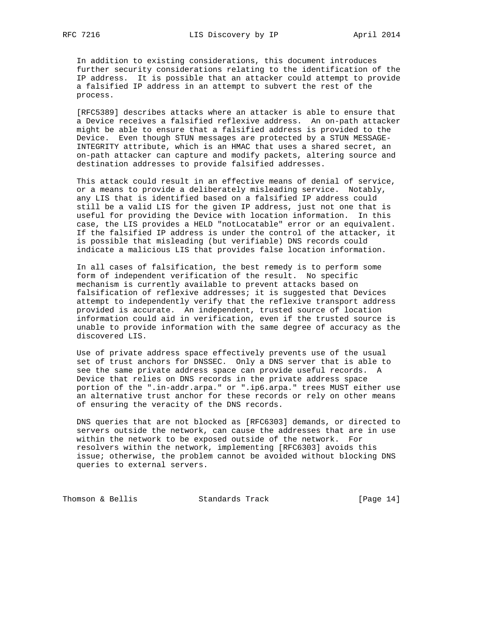In addition to existing considerations, this document introduces further security considerations relating to the identification of the IP address. It is possible that an attacker could attempt to provide a falsified IP address in an attempt to subvert the rest of the process.

 [RFC5389] describes attacks where an attacker is able to ensure that a Device receives a falsified reflexive address. An on-path attacker might be able to ensure that a falsified address is provided to the Device. Even though STUN messages are protected by a STUN MESSAGE- INTEGRITY attribute, which is an HMAC that uses a shared secret, an on-path attacker can capture and modify packets, altering source and destination addresses to provide falsified addresses.

 This attack could result in an effective means of denial of service, or a means to provide a deliberately misleading service. Notably, any LIS that is identified based on a falsified IP address could still be a valid LIS for the given IP address, just not one that is useful for providing the Device with location information. In this case, the LIS provides a HELD "notLocatable" error or an equivalent. If the falsified IP address is under the control of the attacker, it is possible that misleading (but verifiable) DNS records could indicate a malicious LIS that provides false location information.

 In all cases of falsification, the best remedy is to perform some form of independent verification of the result. No specific mechanism is currently available to prevent attacks based on falsification of reflexive addresses; it is suggested that Devices attempt to independently verify that the reflexive transport address provided is accurate. An independent, trusted source of location information could aid in verification, even if the trusted source is unable to provide information with the same degree of accuracy as the discovered LIS.

 Use of private address space effectively prevents use of the usual set of trust anchors for DNSSEC. Only a DNS server that is able to see the same private address space can provide useful records. A Device that relies on DNS records in the private address space portion of the ".in-addr.arpa." or ".ip6.arpa." trees MUST either use an alternative trust anchor for these records or rely on other means of ensuring the veracity of the DNS records.

 DNS queries that are not blocked as [RFC6303] demands, or directed to servers outside the network, can cause the addresses that are in use within the network to be exposed outside of the network. For resolvers within the network, implementing [RFC6303] avoids this issue; otherwise, the problem cannot be avoided without blocking DNS queries to external servers.

Thomson & Bellis Standards Track [Page 14]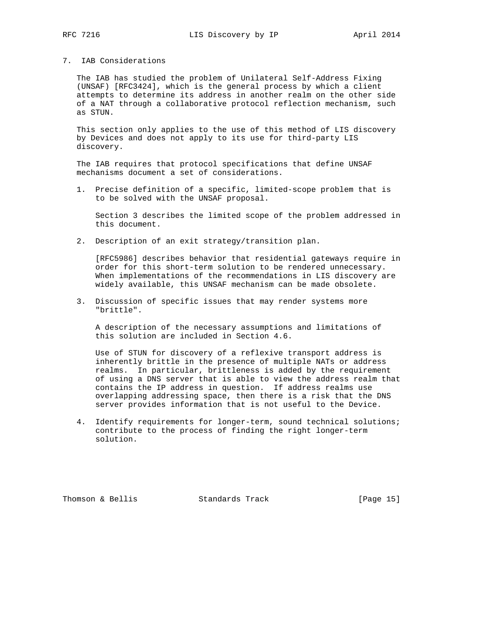### 7. IAB Considerations

 The IAB has studied the problem of Unilateral Self-Address Fixing (UNSAF) [RFC3424], which is the general process by which a client attempts to determine its address in another realm on the other side of a NAT through a collaborative protocol reflection mechanism, such as STUN.

 This section only applies to the use of this method of LIS discovery by Devices and does not apply to its use for third-party LIS discovery.

 The IAB requires that protocol specifications that define UNSAF mechanisms document a set of considerations.

 1. Precise definition of a specific, limited-scope problem that is to be solved with the UNSAF proposal.

 Section 3 describes the limited scope of the problem addressed in this document.

2. Description of an exit strategy/transition plan.

 [RFC5986] describes behavior that residential gateways require in order for this short-term solution to be rendered unnecessary. When implementations of the recommendations in LIS discovery are widely available, this UNSAF mechanism can be made obsolete.

 3. Discussion of specific issues that may render systems more "brittle".

 A description of the necessary assumptions and limitations of this solution are included in Section 4.6.

 Use of STUN for discovery of a reflexive transport address is inherently brittle in the presence of multiple NATs or address realms. In particular, brittleness is added by the requirement of using a DNS server that is able to view the address realm that contains the IP address in question. If address realms use overlapping addressing space, then there is a risk that the DNS server provides information that is not useful to the Device.

 4. Identify requirements for longer-term, sound technical solutions; contribute to the process of finding the right longer-term solution.

Thomson & Bellis Standards Track [Page 15]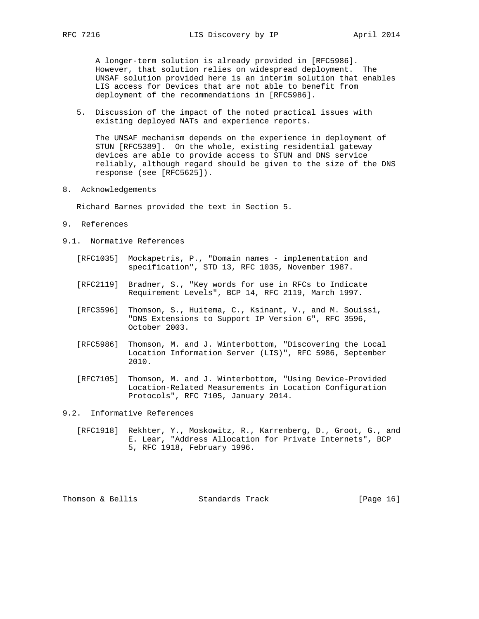A longer-term solution is already provided in [RFC5986]. However, that solution relies on widespread deployment. The UNSAF solution provided here is an interim solution that enables LIS access for Devices that are not able to benefit from deployment of the recommendations in [RFC5986].

 5. Discussion of the impact of the noted practical issues with existing deployed NATs and experience reports.

 The UNSAF mechanism depends on the experience in deployment of STUN [RFC5389]. On the whole, existing residential gateway devices are able to provide access to STUN and DNS service reliably, although regard should be given to the size of the DNS response (see [RFC5625]).

8. Acknowledgements

Richard Barnes provided the text in Section 5.

- 9. References
- 9.1. Normative References
	- [RFC1035] Mockapetris, P., "Domain names implementation and specification", STD 13, RFC 1035, November 1987.
	- [RFC2119] Bradner, S., "Key words for use in RFCs to Indicate Requirement Levels", BCP 14, RFC 2119, March 1997.
	- [RFC3596] Thomson, S., Huitema, C., Ksinant, V., and M. Souissi, "DNS Extensions to Support IP Version 6", RFC 3596, October 2003.
	- [RFC5986] Thomson, M. and J. Winterbottom, "Discovering the Local Location Information Server (LIS)", RFC 5986, September 2010.
	- [RFC7105] Thomson, M. and J. Winterbottom, "Using Device-Provided Location-Related Measurements in Location Configuration Protocols", RFC 7105, January 2014.

9.2. Informative References

 [RFC1918] Rekhter, Y., Moskowitz, R., Karrenberg, D., Groot, G., and E. Lear, "Address Allocation for Private Internets", BCP 5, RFC 1918, February 1996.

Thomson & Bellis Standards Track [Page 16]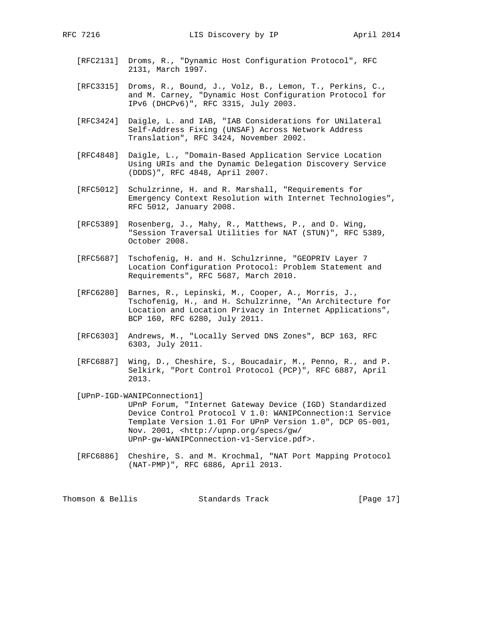- [RFC2131] Droms, R., "Dynamic Host Configuration Protocol", RFC 2131, March 1997.
- [RFC3315] Droms, R., Bound, J., Volz, B., Lemon, T., Perkins, C., and M. Carney, "Dynamic Host Configuration Protocol for IPv6 (DHCPv6)", RFC 3315, July 2003.
- [RFC3424] Daigle, L. and IAB, "IAB Considerations for UNilateral Self-Address Fixing (UNSAF) Across Network Address Translation", RFC 3424, November 2002.
- [RFC4848] Daigle, L., "Domain-Based Application Service Location Using URIs and the Dynamic Delegation Discovery Service (DDDS)", RFC 4848, April 2007.
- [RFC5012] Schulzrinne, H. and R. Marshall, "Requirements for Emergency Context Resolution with Internet Technologies", RFC 5012, January 2008.
- [RFC5389] Rosenberg, J., Mahy, R., Matthews, P., and D. Wing, "Session Traversal Utilities for NAT (STUN)", RFC 5389, October 2008.
- [RFC5687] Tschofenig, H. and H. Schulzrinne, "GEOPRIV Layer 7 Location Configuration Protocol: Problem Statement and Requirements", RFC 5687, March 2010.
- [RFC6280] Barnes, R., Lepinski, M., Cooper, A., Morris, J., Tschofenig, H., and H. Schulzrinne, "An Architecture for Location and Location Privacy in Internet Applications", BCP 160, RFC 6280, July 2011.
- [RFC6303] Andrews, M., "Locally Served DNS Zones", BCP 163, RFC 6303, July 2011.
- [RFC6887] Wing, D., Cheshire, S., Boucadair, M., Penno, R., and P. Selkirk, "Port Control Protocol (PCP)", RFC 6887, April 2013.
- [UPnP-IGD-WANIPConnection1] UPnP Forum, "Internet Gateway Device (IGD) Standardized Device Control Protocol V 1.0: WANIPConnection:1 Service Template Version 1.01 For UPnP Version 1.0", DCP 05-001, Nov. 2001, <http://upnp.org/specs/gw/ UPnP-gw-WANIPConnection-v1-Service.pdf>.
- [RFC6886] Cheshire, S. and M. Krochmal, "NAT Port Mapping Protocol (NAT-PMP)", RFC 6886, April 2013.

Thomson & Bellis Standards Track [Page 17]